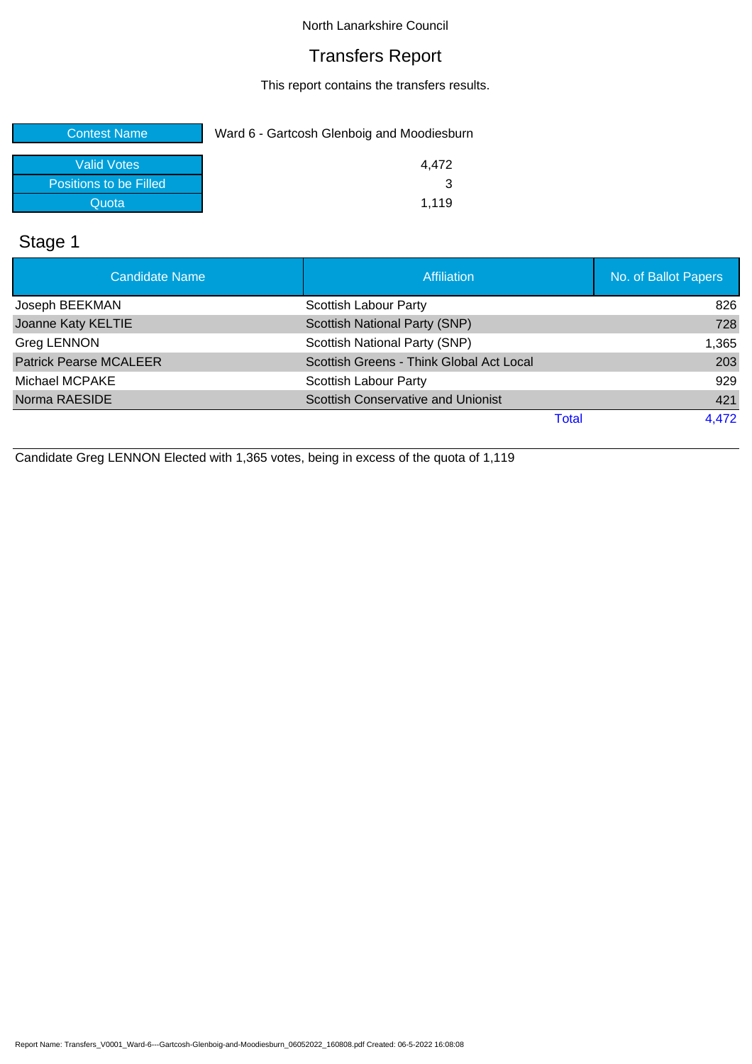## Transfers Report

This report contains the transfers results.

| <b>Contest Name</b>    | Ward 6 - Gartcosh Glenboig and Moodiesburn |
|------------------------|--------------------------------------------|
| Valid Votes            | 4.472                                      |
| Positions to be Filled |                                            |
| Quota                  | 1.119                                      |

# Stage 1

| <b>Candidate Name</b>         | <b>Affiliation</b>                        | No. of Ballot Papers |
|-------------------------------|-------------------------------------------|----------------------|
| Joseph BEEKMAN                | Scottish Labour Party                     | 826                  |
| Joanne Katy KELTIE            | Scottish National Party (SNP)             | 728                  |
| <b>Greg LENNON</b>            | Scottish National Party (SNP)             | 1,365                |
| <b>Patrick Pearse MCALEER</b> | Scottish Greens - Think Global Act Local  | 203                  |
| Michael MCPAKE                | Scottish Labour Party                     | 929                  |
| Norma RAESIDE                 | <b>Scottish Conservative and Unionist</b> | 421                  |
|                               | Total                                     | 4,472                |

Candidate Greg LENNON Elected with 1,365 votes, being in excess of the quota of 1,119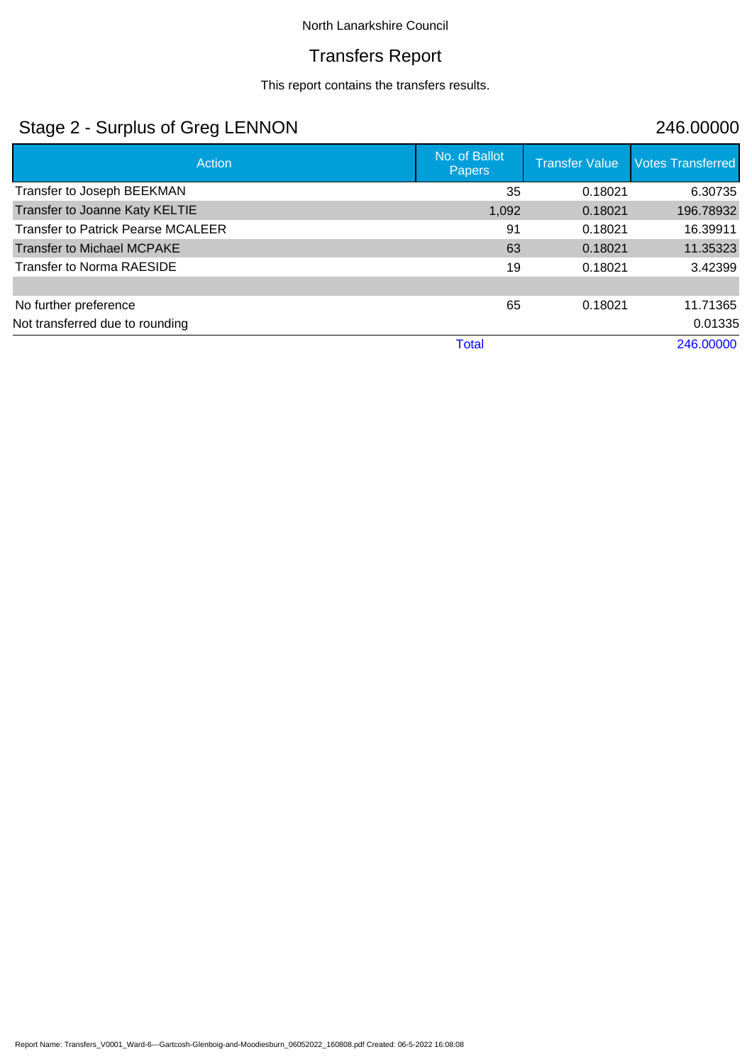## Transfers Report

This report contains the transfers results.

# Stage 2 - Surplus of Greg LENNON 246.00000

| Action                                    | No. of Ballot<br><b>Papers</b> | <b>Transfer Value</b> | <b>Votes Transferred</b> |
|-------------------------------------------|--------------------------------|-----------------------|--------------------------|
| Transfer to Joseph BEEKMAN                | 35                             | 0.18021               | 6.30735                  |
| Transfer to Joanne Katy KELTIE            | 1,092                          | 0.18021               | 196.78932                |
| <b>Transfer to Patrick Pearse MCALEER</b> | 91                             | 0.18021               | 16.39911                 |
| <b>Transfer to Michael MCPAKE</b>         | 63                             | 0.18021               | 11.35323                 |
| <b>Transfer to Norma RAESIDE</b>          | 19                             | 0.18021               | 3.42399                  |
|                                           |                                |                       |                          |
| No further preference                     | 65                             | 0.18021               | 11.71365                 |
| Not transferred due to rounding           |                                |                       | 0.01335                  |
|                                           | <b>Total</b>                   |                       | 246,00000                |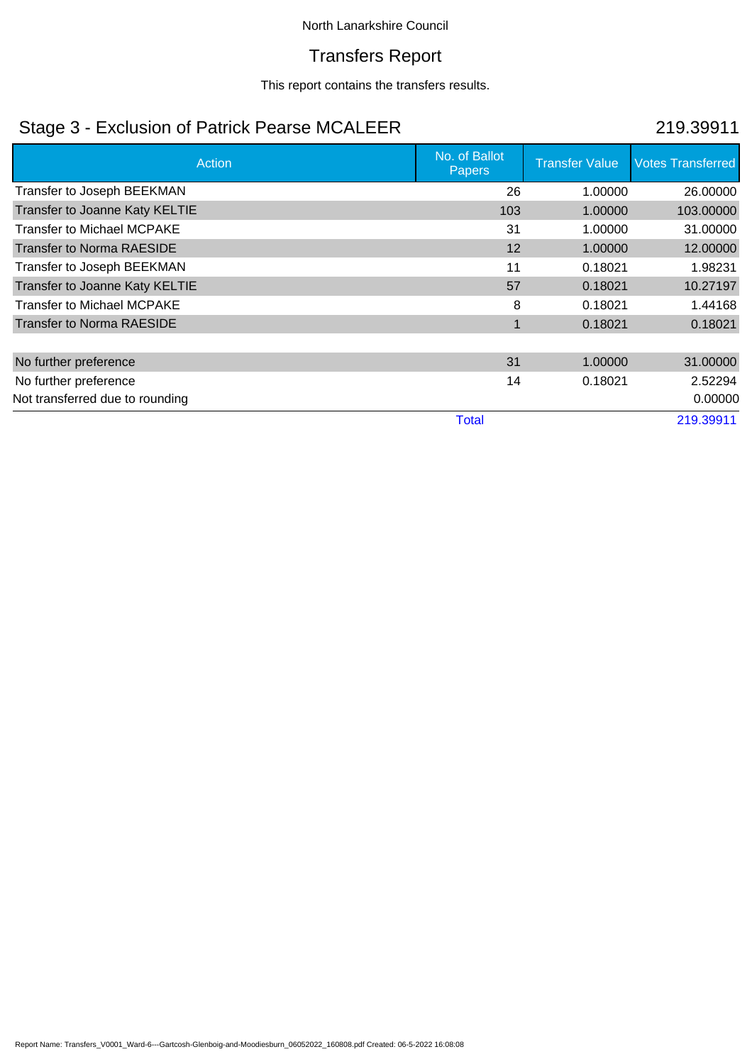## Transfers Report

This report contains the transfers results.

# Stage 3 - Exclusion of Patrick Pearse MCALEER 219.39911

| Action                            | No. of Ballot<br><b>Papers</b> | <b>Transfer Value</b> | <b>Votes Transferred</b> |
|-----------------------------------|--------------------------------|-----------------------|--------------------------|
| Transfer to Joseph BEEKMAN        | 26                             | 1.00000               | 26,00000                 |
| Transfer to Joanne Katy KELTIE    | 103                            | 1.00000               | 103.00000                |
| <b>Transfer to Michael MCPAKE</b> | 31                             | 1.00000               | 31.00000                 |
| <b>Transfer to Norma RAESIDE</b>  | 12                             | 1.00000               | 12.00000                 |
| Transfer to Joseph BEEKMAN        | 11                             | 0.18021               | 1.98231                  |
| Transfer to Joanne Katy KELTIE    | 57                             | 0.18021               | 10.27197                 |
| <b>Transfer to Michael MCPAKE</b> | 8                              | 0.18021               | 1.44168                  |
| <b>Transfer to Norma RAESIDE</b>  | $\mathbf 1$                    | 0.18021               | 0.18021                  |
|                                   |                                |                       |                          |
| No further preference             | 31                             | 1.00000               | 31,00000                 |
| No further preference             | 14                             | 0.18021               | 2.52294                  |
| Not transferred due to rounding   |                                |                       | 0.00000                  |
|                                   | <b>Total</b>                   |                       | 219.39911                |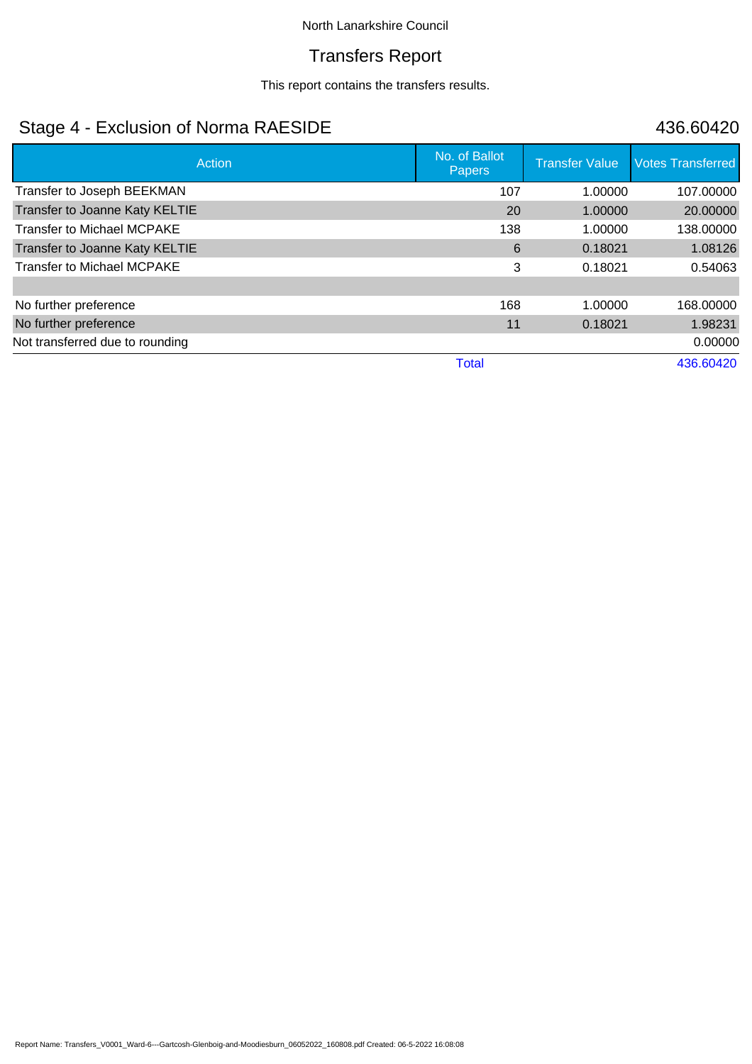## Transfers Report

This report contains the transfers results.

# Stage 4 - Exclusion of Norma RAESIDE 436.60420

| Action                            | No. of Ballot<br>Papers | <b>Transfer Value</b> | <b>Votes Transferred</b> |
|-----------------------------------|-------------------------|-----------------------|--------------------------|
| Transfer to Joseph BEEKMAN        | 107                     | 1.00000               | 107.00000                |
| Transfer to Joanne Katy KELTIE    | 20                      | 1.00000               | 20.00000                 |
| <b>Transfer to Michael MCPAKE</b> | 138                     | 1.00000               | 138.00000                |
| Transfer to Joanne Katy KELTIE    | 6                       | 0.18021               | 1.08126                  |
| <b>Transfer to Michael MCPAKE</b> | 3                       | 0.18021               | 0.54063                  |
|                                   |                         |                       |                          |
| No further preference             | 168                     | 1.00000               | 168.00000                |
| No further preference             | 11                      | 0.18021               | 1.98231                  |
| Not transferred due to rounding   |                         |                       | 0.00000                  |
|                                   | <b>Total</b>            |                       | 436.60420                |